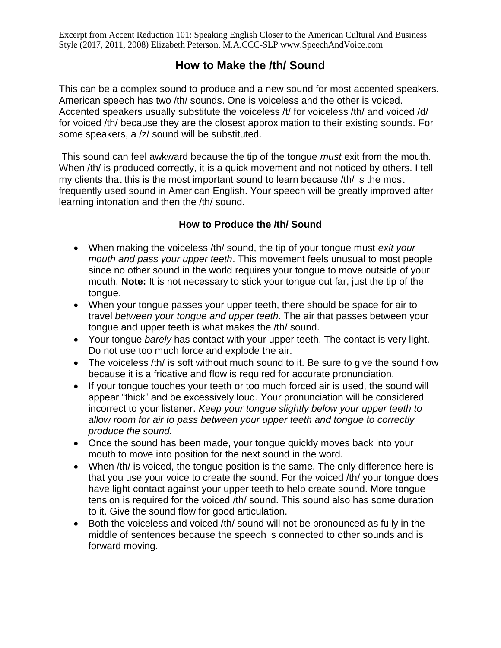Excerpt from Accent Reduction 101: Speaking English Closer to the American Cultural And Business Style (2017, 2011, 2008) Elizabeth Peterson, M.A.CCC-SLP www.SpeechAndVoice.com

# **How to Make the /th/ Sound**

This can be a complex sound to produce and a new sound for most accented speakers. American speech has two /th/ sounds. One is voiceless and the other is voiced. Accented speakers usually substitute the voiceless /t/ for voiceless /th/ and voiced /d/ for voiced /th/ because they are the closest approximation to their existing sounds. For some speakers, a /z/ sound will be substituted.

This sound can feel awkward because the tip of the tongue *must* exit from the mouth. When /th/ is produced correctly, it is a quick movement and not noticed by others. I tell my clients that this is the most important sound to learn because /th/ is the most frequently used sound in American English. Your speech will be greatly improved after learning intonation and then the /th/ sound.

#### **How to Produce the /th/ Sound**

- When making the voiceless /th/ sound, the tip of your tongue must *exit your mouth and pass your upper teeth*. This movement feels unusual to most people since no other sound in the world requires your tongue to move outside of your mouth. **Note:** It is not necessary to stick your tongue out far, just the tip of the tongue.
- When your tongue passes your upper teeth, there should be space for air to travel *between your tongue and upper teeth*. The air that passes between your tongue and upper teeth is what makes the /th/ sound.
- Your tongue *barely* has contact with your upper teeth. The contact is very light. Do not use too much force and explode the air.
- The voiceless /th/ is soft without much sound to it. Be sure to give the sound flow because it is a fricative and flow is required for accurate pronunciation.
- If your tongue touches your teeth or too much forced air is used, the sound will appear "thick" and be excessively loud. Your pronunciation will be considered incorrect to your listener. *Keep your tongue slightly below your upper teeth to allow room for air to pass between your upper teeth and tongue to correctly produce the sound.*
- Once the sound has been made, your tongue quickly moves back into your mouth to move into position for the next sound in the word.
- When /th/ is voiced, the tongue position is the same. The only difference here is that you use your voice to create the sound. For the voiced /th/ your tongue does have light contact against your upper teeth to help create sound. More tongue tension is required for the voiced /th/ sound. This sound also has some duration to it. Give the sound flow for good articulation.
- Both the voiceless and voiced /th/ sound will not be pronounced as fully in the middle of sentences because the speech is connected to other sounds and is forward moving.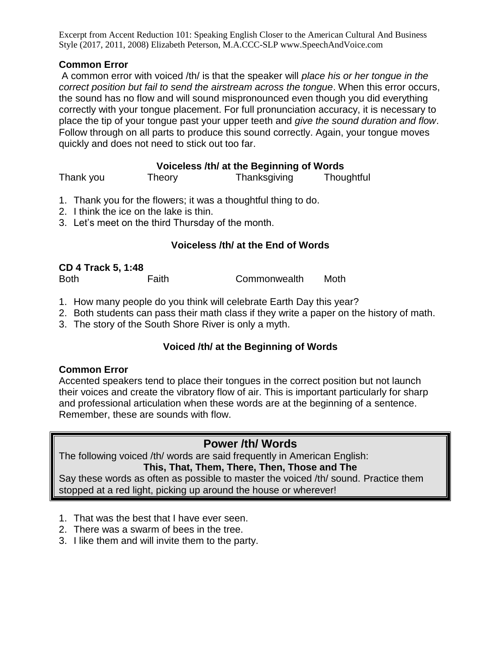Excerpt from Accent Reduction 101: Speaking English Closer to the American Cultural And Business Style (2017, 2011, 2008) Elizabeth Peterson, M.A.CCC-SLP www.SpeechAndVoice.com

#### **Common Error**

A common error with voiced /th/ is that the speaker will *place his or her tongue in the correct position but fail to send the airstream across the tongue*. When this error occurs, the sound has no flow and will sound mispronounced even though you did everything correctly with your tongue placement. For full pronunciation accuracy, it is necessary to place the tip of your tongue past your upper teeth and *give the sound duration and flow*. Follow through on all parts to produce this sound correctly. Again, your tongue moves quickly and does not need to stick out too far.

### **Voiceless /th/ at the Beginning of Words**

| Thank you | Theory | Thanksgiving | Thoughtful |
|-----------|--------|--------------|------------|
|           |        |              |            |

- 1. Thank you for the flowers; it was a thoughtful thing to do.
- 2. I think the ice on the lake is thin.
- 3. Let's meet on the third Thursday of the month.

#### **Voiceless /th/ at the End of Words**

| <b>CD 4 Track 5, 1:48</b> |       |              |      |
|---------------------------|-------|--------------|------|
| <b>Both</b>               | Faith | Commonwealth | Moth |

- 1. How many people do you think will celebrate Earth Day this year?
- 2. Both students can pass their math class if they write a paper on the history of math.
- 3. The story of the South Shore River is only a myth.

### **Voiced /th/ at the Beginning of Words**

#### **Common Error**

Accented speakers tend to place their tongues in the correct position but not launch their voices and create the vibratory flow of air. This is important particularly for sharp and professional articulation when these words are at the beginning of a sentence. Remember, these are sounds with flow.

# **Power /th/ Words**

The following voiced /th/ words are said frequently in American English: **This, That, Them, There, Then, Those and The**

Say these words as often as possible to master the voiced /th/ sound. Practice them stopped at a red light, picking up around the house or wherever!

- 1. That was the best that I have ever seen.
- 2. There was a swarm of bees in the tree.
- 3. I like them and will invite them to the party.